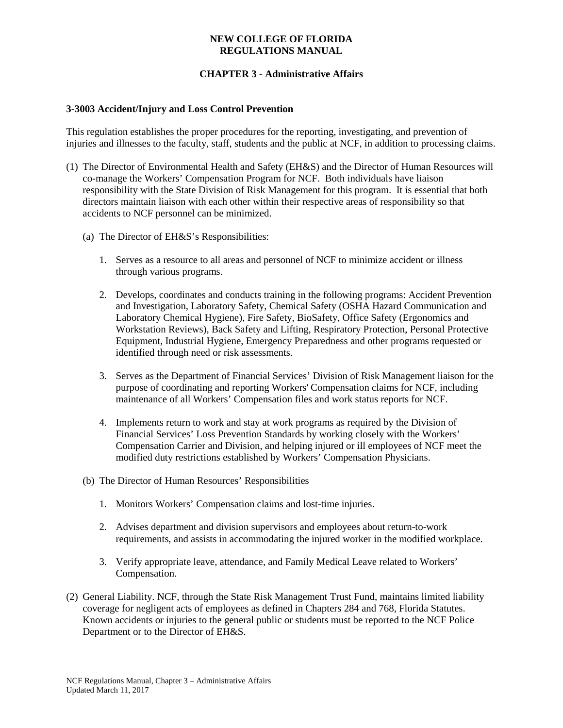#### **NEW COLLEGE OF FLORIDA REGULATIONS MANUAL**

# **CHAPTER 3 - Administrative Affairs**

## **3-3003 Accident/Injury and Loss Control Prevention**

This regulation establishes the proper procedures for the reporting, investigating, and prevention of injuries and illnesses to the faculty, staff, students and the public at NCF, in addition to processing claims.

- (1) The Director of Environmental Health and Safety (EH&S) and the Director of Human Resources will co-manage the Workers' Compensation Program for NCF. Both individuals have liaison responsibility with the State Division of Risk Management for this program. It is essential that both directors maintain liaison with each other within their respective areas of responsibility so that accidents to NCF personnel can be minimized.
	- (a) The Director of EH&S's Responsibilities:
		- 1. Serves as a resource to all areas and personnel of NCF to minimize accident or illness through various programs.
		- 2. Develops, coordinates and conducts training in the following programs: Accident Prevention and Investigation, Laboratory Safety, Chemical Safety (OSHA Hazard Communication and Laboratory Chemical Hygiene), Fire Safety, BioSafety, Office Safety (Ergonomics and Workstation Reviews), Back Safety and Lifting, Respiratory Protection, Personal Protective Equipment, Industrial Hygiene, Emergency Preparedness and other programs requested or identified through need or risk assessments.
		- 3. Serves as the Department of Financial Services' Division of Risk Management liaison for the purpose of coordinating and reporting Workers' Compensation claims for NCF, including maintenance of all Workers' Compensation files and work status reports for NCF.
		- 4. Implements return to work and stay at work programs as required by the Division of Financial Services' Loss Prevention Standards by working closely with the Workers' Compensation Carrier and Division, and helping injured or ill employees of NCF meet the modified duty restrictions established by Workers' Compensation Physicians.
	- (b) The Director of Human Resources' Responsibilities
		- 1. Monitors Workers' Compensation claims and lost-time injuries.
		- 2. Advises department and division supervisors and employees about return-to-work requirements, and assists in accommodating the injured worker in the modified workplace.
		- 3. Verify appropriate leave, attendance, and Family Medical Leave related to Workers' Compensation.
- (2) General Liability. NCF, through the State Risk Management Trust Fund, maintains limited liability coverage for negligent acts of employees as defined in Chapters 284 and 768, Florida Statutes. Known accidents or injuries to the general public or students must be reported to the NCF Police Department or to the Director of EH&S.